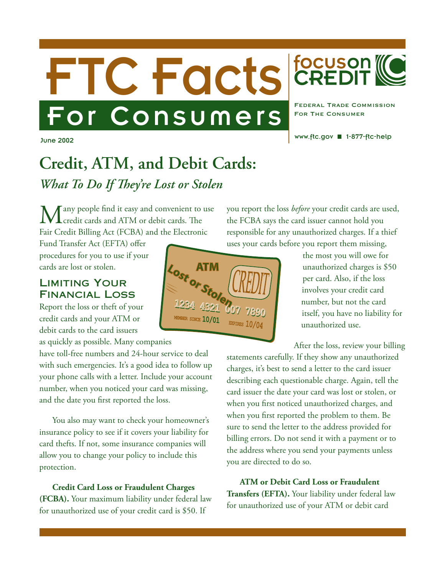# FTC Facts For Consumer FOR THE COMMISSION

June 2002

# **Credit, ATM, and Debit Cards:** *What To Do If They're Lost or Stolen*

Tany people find it easy and convenient to use credit cards and ATM or debit cards. The Fair Credit Billing Act (FCBA) and the Electronic

Fund Transfer Act (EFTA) offer procedures for you to use if your cards are lost or stolen.

# Limiting Your Financial Loss

Report the loss or theft of your credit cards and your ATM or debit cards to the card issuers

as quickly as possible. Many companies

have toll-free numbers and 24-hour service to deal with such emergencies. It's a good idea to follow up your phone calls with a letter. Include your account number, when you noticed your card was missing, and the date you first reported the loss.

You also may want to check your homeowner's insurance policy to see if it covers your liability for card thefts. If not, some insurance companies will allow you to change your policy to include this protection.

**Credit Card Loss or Fraudulent Charges (FCBA).** Your maximum liability under federal law for unauthorized use of your credit card is \$50. If

you report the loss *before* your credit cards are used, the FCBA says the card issuer cannot hold you responsible for any unauthorized charges. If a thief uses your cards before you report them missing,



the most you will owe for unauthorized charges is \$50 per card. Also, if the loss involves your credit card number, but not the card itself, you have no liability for unauthorized use.

After the loss, review your billing

statements carefully. If they show any unauthorized charges, it's best to send a letter to the card issuer describing each questionable charge. Again, tell the card issuer the date your card was lost or stolen, or when you first noticed unauthorized charges, and when you first reported the problem to them. Be sure to send the letter to the address provided for billing errors. Do not send it with a payment or to the address where you send your payments unless you are directed to do so.

**ATM or Debit Card Loss or Fraudulent Transfers (EFTA).** Your liability under federal law for unauthorized use of your ATM or debit card



For The Consumer

www.ftc.gov ■ 1-877-ftc-help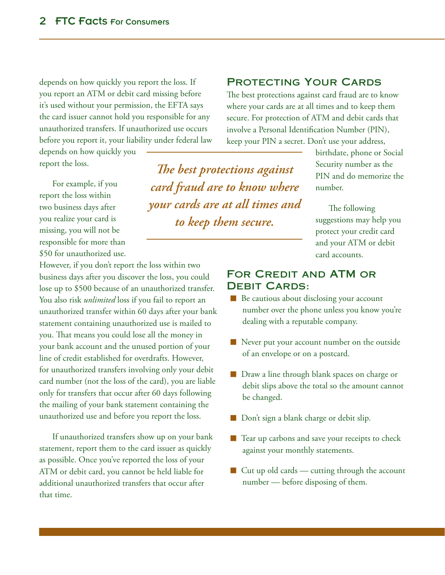depends on how quickly you report the loss. If you report an ATM or debit card missing before it's used without your permission, the EFTA says the card issuer cannot hold you responsible for any unauthorized transfers. If unauthorized use occurs before you report it, your liability under federal law

depends on how quickly you report the loss.

For example, if you report the loss within two business days after you realize your card is missing, you will not be responsible for more than \$50 for unauthorized use.

However, if you don't report the loss within two business days after you discover the loss, you could lose up to \$500 because of an unauthorized transfer. You also risk *unlimited* loss if you fail to report an unauthorized transfer within 60 days after your bank statement containing unauthorized use is mailed to you. That means you could lose all the money in your bank account and the unused portion of your line of credit established for overdrafts. However, for unauthorized transfers involving only your debit card number (not the loss of the card), you are liable only for transfers that occur after 60 days following the mailing of your bank statement containing the unauthorized use and before you report the loss.

If unauthorized transfers show up on your bank statement, report them to the card issuer as quickly as possible. Once you've reported the loss of your ATM or debit card, you cannot be held liable for additional unauthorized transfers that occur after that time.

Protecting Your Cards

The best protections against card fraud are to know where your cards are at all times and to keep them secure. For protection of ATM and debit cards that involve a Personal Identification Number (PIN), keep your PIN a secret. Don't use your address,

*The best protections against card fraud are to know where your cards are at all times and to keep them secure.*

birthdate, phone or Social Security number as the PIN and do memorize the number.

The following suggestions may help you protect your credit card and your ATM or debit card accounts.

# For Credit and ATM or DEBIT CARDS:

- $\blacksquare$  Be cautious about disclosing your account number over the phone unless you know you're dealing with a reputable company.
- Never put your account number on the outside of an envelope or on a postcard.
- Draw a line through blank spaces on charge or debit slips above the total so the amount cannot be changed.
- **n** Don't sign a blank charge or debit slip.
- Tear up carbons and save your receipts to check against your monthly statements.
- $\Box$  Cut up old cards cutting through the account number — before disposing of them.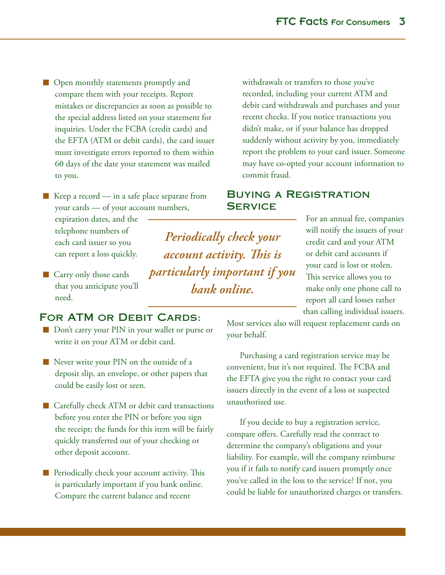**n** Open monthly statements promptly and compare them with your receipts. Report mistakes or discrepancies as soon as possible to the special address listed on your statement for inquiries. Under the FCBA (credit cards) and the EFTA (ATM or debit cards), the card issuer must investigate errors reported to them within 60 days of the date your statement was mailed to you.

 $\blacksquare$  Keep a record — in a safe place separate from your cards — of your account numbers,

expiration dates, and the telephone numbers of each card issuer so you can report a loss quickly.

 $\blacksquare$  Carry only those cards that you anticipate you'll need.

## For ATM or Debit Cards:

- Don't carry your PIN in your wallet or purse or write it on your ATM or debit card.
- $\blacksquare$  Never write your PIN on the outside of a deposit slip, an envelope, or other papers that could be easily lost or seen.
- Carefully check ATM or debit card transactions before you enter the PIN or before you sign the receipt; the funds for this item will be fairly quickly transferred out of your checking or other deposit account.
- n Periodically check your account activity. This is particularly important if you bank online. Compare the current balance and recent

recorded, including your current ATM and debit card withdrawals and purchases and your recent checks. If you notice transactions you didn't make, or if your balance has dropped suddenly without activity by you, immediately report the problem to your card issuer. Someone may have co-opted your account information to commit fraud.

withdrawals or transfers to those you've

#### Buying a Registration **SERVICE**

*Periodically check your* 

*account activity. This is* 

*particularly important if you* 

*bank online.*

For an annual fee, companies will notify the issuers of your credit card and your ATM or debit card accounts if your card is lost or stolen. This service allows you to make only one phone call to report all card losses rather than calling individual issuers.

Most services also will request replacement cards on your behalf.

Purchasing a card registration service may be convenient, but it's not required. The FCBA and the EFTA give you the right to contact your card issuers directly in the event of a loss or suspected unauthorized use.

If you decide to buy a registration service, compare offers. Carefully read the contract to determine the company's obligations and your liability. For example, will the company reimburse you if it fails to notify card issuers promptly once you've called in the loss to the service? If not, you could be liable for unauthorized charges or transfers.